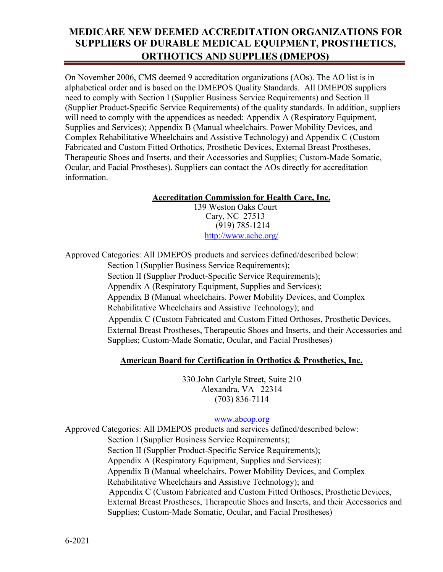On November 2006, CMS deemed 9 accreditation organizations (AOs). The AO list is in alphabetical order and is based on the DMEPOS Quality Standards. All DMEPOS suppliers need to comply with Section I (Supplier Business Service Requirements) and Section II (Supplier Product-Specific Service Requirements) of the quality standards. In addition, suppliers will need to comply with the appendices as needed: Appendix A (Respiratory Equipment, Supplies and Services); Appendix B (Manual wheelchairs. Power Mobility Devices, and Complex Rehabilitative Wheelchairs and Assistive Technology) and Appendix C (Custom Fabricated and Custom Fitted Orthotics, Prosthetic Devices, External Breast Prostheses, Therapeutic Shoes and Inserts, and their Accessories and Supplies; Custom-Made Somatic, Ocular, and Facial Prostheses). Suppliers can contact the AOs directly for accreditation information.

#### **Accreditation Commission for Health Care, Inc.**

139 Weston Oaks Court Cary, NC 27513 (919) 785-1214 <http://www.achc.org/>

Approved Categories: All DMEPOS products and services defined/described below:

Section I (Supplier Business Service Requirements); Section II (Supplier Product-Specific Service Requirements); Appendix A (Respiratory Equipment, Supplies and Services); Appendix B (Manual wheelchairs. Power Mobility Devices, and Complex Rehabilitative Wheelchairs and Assistive Technology); and Appendix C (Custom Fabricated and Custom Fitted Orthoses, Prosthetic Devices,

External Breast Prostheses, Therapeutic Shoes and Inserts, and their Accessories and Supplies; Custom-Made Somatic, Ocular, and Facial Prostheses)

### **American Board for Certification in Orthotics & Prosthetics, Inc.**

330 John Carlyle Street, Suite 210 Alexandra, VA 22314 (703) 836-7114

#### [www.abcop.org](http://www.abcop.org/)

Approved Categories: All DMEPOS products and services defined/described below: Section I (Supplier Business Service Requirements); Section II (Supplier Product-Specific Service Requirements); Appendix A (Respiratory Equipment, Supplies and Services); Appendix B (Manual wheelchairs. Power Mobility Devices, and Complex Rehabilitative Wheelchairs and Assistive Technology); and Appendix C (Custom Fabricated and Custom Fitted Orthoses, Prosthetic Devices, External Breast Prostheses, Therapeutic Shoes and Inserts, and their Accessories and Supplies; Custom-Made Somatic, Ocular, and Facial Prostheses)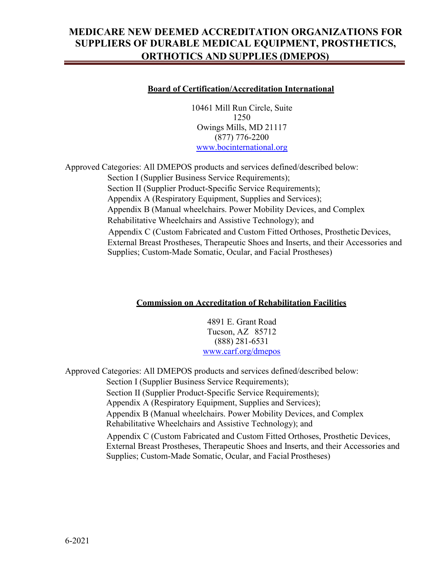#### **Board of Certification/Accreditation International**

10461 Mill Run Circle, Suite 1250 Owings Mills, MD 21117 (877) 776-2200 [www.bocinternational.org](http://www.bocinternational.org/)

Approved Categories: All DMEPOS products and services defined/described below: Section I (Supplier Business Service Requirements); Section II (Supplier Product-Specific Service Requirements); Appendix A (Respiratory Equipment, Supplies and Services); Appendix B (Manual wheelchairs. Power Mobility Devices, and Complex Rehabilitative Wheelchairs and Assistive Technology); and Appendix C (Custom Fabricated and Custom Fitted Orthoses, Prosthetic Devices, External Breast Prostheses, Therapeutic Shoes and Inserts, and their Accessories and Supplies; Custom-Made Somatic, Ocular, and Facial Prostheses)

#### **Commission on Accreditation of Rehabilitation Facilities**

4891 E. Grant Road Tucson, AZ 85712 (888) 281-6531 [www.carf.org/dmepos](http://www.carf.org/dmepos)

Approved Categories: All DMEPOS products and services defined/described below:

Section I (Supplier Business Service Requirements); Section II (Supplier Product-Specific Service Requirements); Appendix A (Respiratory Equipment, Supplies and Services); Appendix B (Manual wheelchairs. Power Mobility Devices, and Complex Rehabilitative Wheelchairs and Assistive Technology); and

 Appendix C (Custom Fabricated and Custom Fitted Orthoses, Prosthetic Devices, External Breast Prostheses, Therapeutic Shoes and Inserts, and their Accessories and Supplies; Custom-Made Somatic, Ocular, and Facial Prostheses)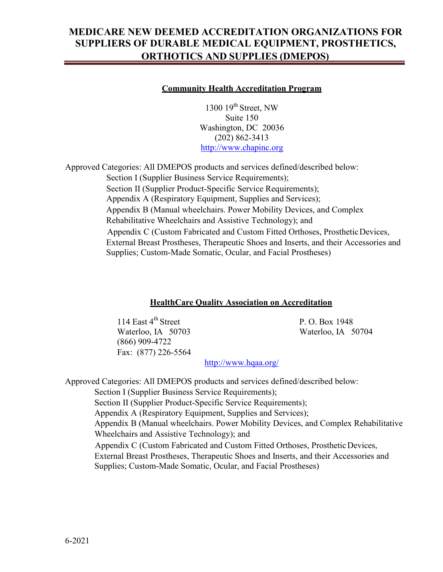#### **Community Health Accreditation Program**

1300  $19<sup>th</sup>$  Street, NW Suite 150 Washington, DC 20036 (202) 862-3413 [http://www.chapinc.org](http://www.chapinc.org/)

Approved Categories: All DMEPOS products and services defined/described below: Section I (Supplier Business Service Requirements); Section II (Supplier Product-Specific Service Requirements); Appendix A (Respiratory Equipment, Supplies and Services); Appendix B (Manual wheelchairs. Power Mobility Devices, and Complex Rehabilitative Wheelchairs and Assistive Technology); and Appendix C (Custom Fabricated and Custom Fitted Orthoses, Prosthetic Devices, External Breast Prostheses, Therapeutic Shoes and Inserts, and their Accessories and Supplies; Custom-Made Somatic, Ocular, and Facial Prostheses)

#### **HealthCare Quality Association on Accreditation**

114 East 4<sup>th</sup> Street P. O. Box 1948 Waterloo, IA 50703 Waterloo, IA 50704 (866) 909-4722 Fax: (877) 226-5564

<http://www.hqaa.org/>

Approved Categories: All DMEPOS products and services defined/described below:

Section I (Supplier Business Service Requirements);

Section II (Supplier Product-Specific Service Requirements);

Appendix A (Respiratory Equipment, Supplies and Services);

Appendix B (Manual wheelchairs. Power Mobility Devices, and Complex Rehabilitative Wheelchairs and Assistive Technology); and

 Appendix C (Custom Fabricated and Custom Fitted Orthoses, Prosthetic Devices, External Breast Prostheses, Therapeutic Shoes and Inserts, and their Accessories and Supplies; Custom-Made Somatic, Ocular, and Facial Prostheses)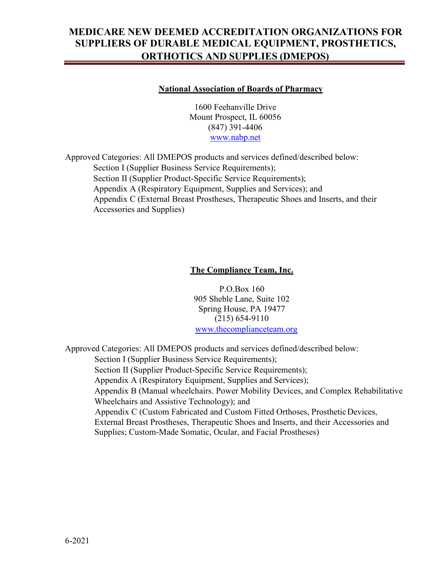#### **National Association of Boards of Pharmacy**

1600 Feehanville Drive Mount Prospect, IL 60056 (847) 391-4406 [www.nabp.net](http://www.nabp.net/)

Approved Categories: All DMEPOS products and services defined/described below: Section I (Supplier Business Service Requirements); Section II (Supplier Product-Specific Service Requirements); Appendix A (Respiratory Equipment, Supplies and Services); and Appendix C (External Breast Prostheses, Therapeutic Shoes and Inserts, and their Accessories and Supplies)

### **The Compliance Team, Inc.**

P.O.Box 160 905 Sheble Lane, Suite 102 Spring House, PA 19477 (215) 654-9110 [www.thecomplianceteam.org](http://www.thecomplianceteam.org/)

Approved Categories: All DMEPOS products and services defined/described below: Section I (Supplier Business Service Requirements); Section II (Supplier Product-Specific Service Requirements); Appendix A (Respiratory Equipment, Supplies and Services); Appendix B (Manual wheelchairs. Power Mobility Devices, and Complex Rehabilitative Wheelchairs and Assistive Technology); and Appendix C (Custom Fabricated and Custom Fitted Orthoses, Prosthetic Devices, External Breast Prostheses, Therapeutic Shoes and Inserts, and their Accessories and Supplies; Custom-Made Somatic, Ocular, and Facial Prostheses)